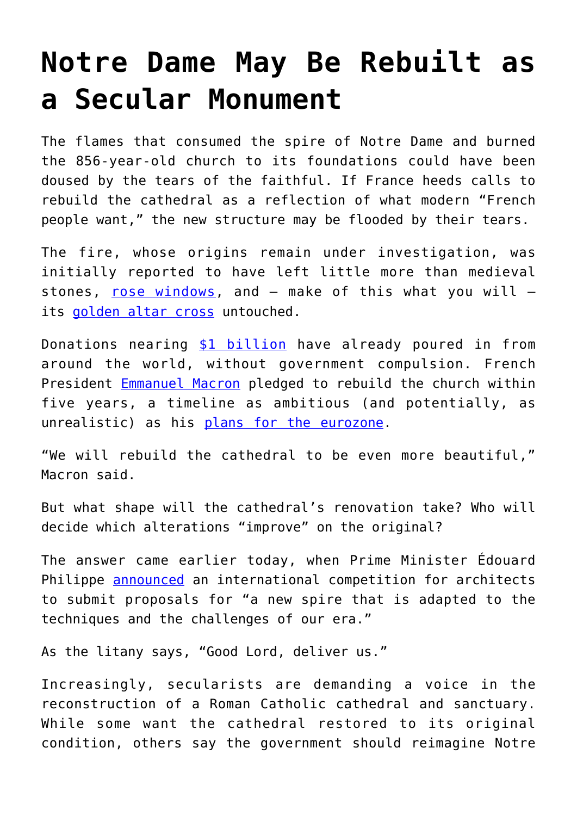## **[Notre Dame May Be Rebuilt as](https://intellectualtakeout.org/2019/04/notre-dame-may-be-rebuilt-as-a-secular-monument/) [a Secular Monument](https://intellectualtakeout.org/2019/04/notre-dame-may-be-rebuilt-as-a-secular-monument/)**

The flames that consumed the spire of Notre Dame and burned the 856-year-old church to its foundations could have been doused by the tears of the faithful. If France heeds calls to rebuild the cathedral as a reflection of what modern "French people want," the new structure may be flooded by their tears.

The fire, whose origins remain under investigation, was initially reported to have left little more than medieval stones,  $rose$  windows, and  $-$  make of this what you will  $$ its [golden altar cross](https://www.intellectualtakeout.org/%C2%A0https%3A//www.foxnews.com/world/notre-dame-golden-altar-cross-images-inside) untouched.

Donations nearing [\\$1 billion](https://www.apnews.com/232c126bee2e462aa8787ac956f92c3f) have already poured in from around the world, without government compulsion. French President [Emmanuel Macron](https://blog.acton.org/archives/94242-france-settles-for-macron-and-malaise.html) pledged to rebuild the church within five years, a timeline as ambitious (and potentially, as unrealistic) as his [plans for the eurozone.](https://acton.org/publications/transatlantic/2017/09/08/euro-economic-and-moral-crisis)

"We will rebuild the cathedral to be even more beautiful," Macron said.

But what shape will the cathedral's renovation take? Who will decide which alterations "improve" on the original?

The answer came earlier today, when Prime Minister Édouard Philippe [announced](https://www.france24.com/en/20190417-france-launch-international-architect-contest-rebuild-notre-dame-spire) an international competition for architects to submit proposals for "a new spire that is adapted to the techniques and the challenges of our era."

As the litany says, "Good Lord, deliver us."

Increasingly, secularists are demanding a voice in the reconstruction of a Roman Catholic cathedral and sanctuary. While some want the cathedral restored to its original condition, others say the government should reimagine Notre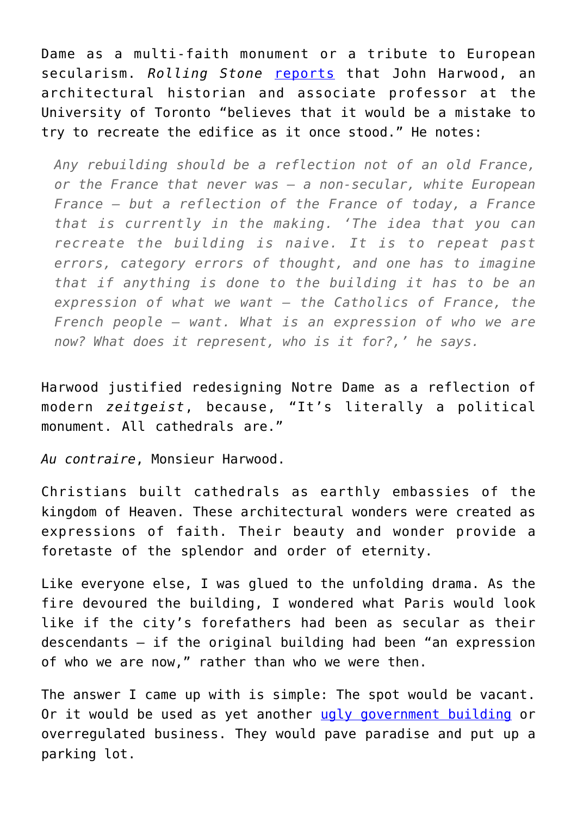Dame as a multi-faith monument or a tribute to European secularism. *Rolling Stone* [reports](https://www.rollingstone.com/culture/culture-features/notre-dame-cathedral-paris-fire-whats-next-822743/) that John Harwood, an architectural historian and associate professor at the University of Toronto "believes that it would be a mistake to try to recreate the edifice as it once stood." He notes:

*Any rebuilding should be a reflection not of an old France, or the France that never was — a non-secular, white European France — but a reflection of the France of today, a France that is currently in the making. 'The idea that you can recreate the building is naive. It is to repeat past errors, category errors of thought, and one has to imagine that if anything is done to the building it has to be an expression of what we want — the Catholics of France, the French people — want. What is an expression of who we are now? What does it represent, who is it for?,' he says.*

Harwood justified redesigning Notre Dame as a reflection of modern *zeitgeist*, because, "It's literally a political monument. All cathedrals are."

*Au contraire*, Monsieur Harwood.

Christians built cathedrals as earthly embassies of the kingdom of Heaven. These architectural wonders were created as expressions of faith. Their beauty and wonder provide a foretaste of the splendor and order of eternity.

Like everyone else, I was glued to the unfolding drama. As the fire devoured the building, I wondered what Paris would look like if the city's forefathers had been as secular as their descendants – if the original building had been "an expression of who we are now," rather than who we were then.

The answer I came up with is simple: The spot would be vacant. Or it would be used as yet another [ugly government building](https://en.wikipedia.org/wiki/Tour_Montparnasse) or overregulated business. They would pave paradise and put up a parking lot.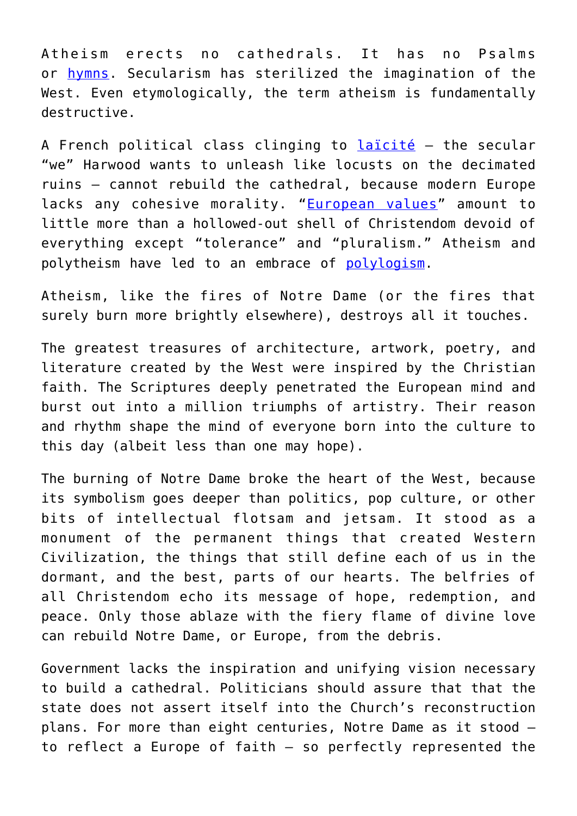Atheism erects no cathedrals. It has no Psalms or [hymns.](https://www.youtube.com/watch?v=xmwAD7nHqaY) Secularism has sterilized the imagination of the West. Even etymologically, the term atheism is fundamentally destructive.

A French political class clinging to laicité - the secular "we" Harwood wants to unleash like locusts on the decimated ruins — cannot rebuild the cathedral, because modern Europe lacks any cohesive morality. "[European values"](https://blog.acton.org/archives/101389-emmanuel-macron-and-the-problem-with-european-values.html) amount to little more than a hollowed-out shell of Christendom devoid of everything except "tolerance" and "pluralism." Atheism and polytheism have led to an embrace of [polylogism](https://wiki.mises.org/wiki/Polylogism).

Atheism, like the fires of Notre Dame (or the fires that surely burn more brightly elsewhere), destroys all it touches.

The greatest treasures of architecture, artwork, poetry, and literature created by the West were inspired by the Christian faith. The Scriptures deeply penetrated the European mind and burst out into a million triumphs of artistry. Their reason and rhythm shape the mind of everyone born into the culture to this day (albeit less than one may hope).

The burning of Notre Dame broke the heart of the West, because its symbolism goes deeper than politics, pop culture, or other bits of intellectual flotsam and jetsam. It stood as a monument of the permanent things that created Western Civilization, the things that still define each of us in the dormant, and the best, parts of our hearts. The belfries of all Christendom echo its message of hope, redemption, and peace. Only those ablaze with the fiery flame of divine love can rebuild Notre Dame, or Europe, from the debris.

Government lacks the inspiration and unifying vision necessary to build a cathedral. Politicians should assure that that the state does not assert itself into the Church's reconstruction plans. For more than eight centuries, Notre Dame as it stood to reflect a Europe of faith — so perfectly represented the